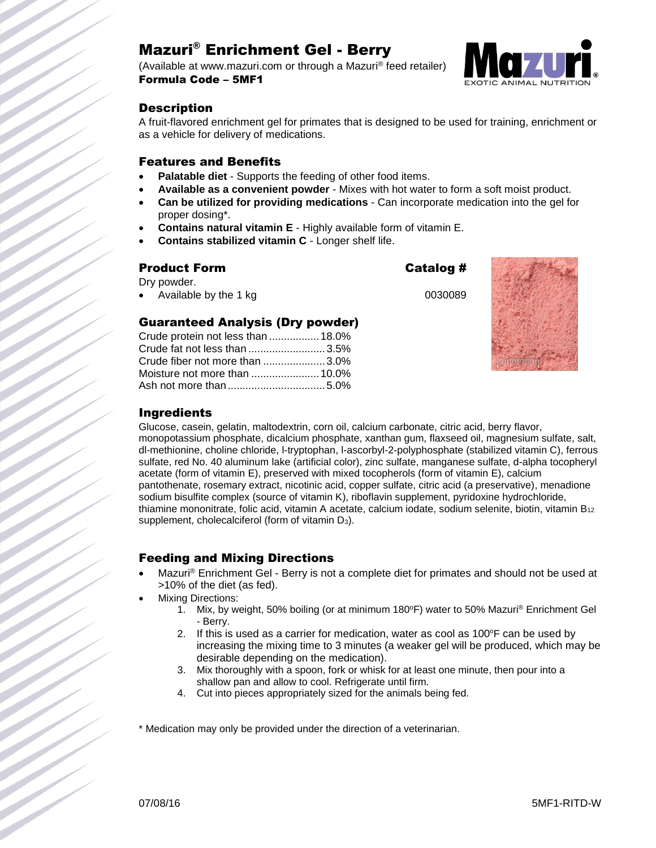# Mazuri® Enrichment Gel - Berry

(Available at www.mazuri.com or through a Mazuri® feed retailer) Formula Code – 5MF1



# **Description**

A fruit-flavored enrichment gel for primates that is designed to be used for training, enrichment or as a vehicle for delivery of medications.

#### Features and Benefits

- **Palatable diet** Supports the feeding of other food items.
- **Available as a convenient powder** Mixes with hot water to form a soft moist product.
- **Can be utilized for providing medications** Can incorporate medication into the gel for proper dosing\*.
- **Contains natural vitamin E** Highly available form of vitamin E.
- **Contains stabilized vitamin C** Longer shelf life.

Guaranteed Analysis (Dry powder) Crude protein not less than .................18.0% Crude fat not less than ..........................3.5% Crude fiber not more than .....................3.0% Moisture not more than .......................10.0% Ash not more than.................................5.0%

## Product Form Catalog #

Dry powder.

Available by the 1 kg 0030089



# Ingredients

Glucose, casein, gelatin, maltodextrin, corn oil, calcium carbonate, citric acid, berry flavor, monopotassium phosphate, dicalcium phosphate, xanthan gum, flaxseed oil, magnesium sulfate, salt, dl-methionine, choline chloride, l-tryptophan, l-ascorbyl-2-polyphosphate (stabilized vitamin C), ferrous sulfate, red No. 40 aluminum lake (artificial color), zinc sulfate, manganese sulfate, d-alpha tocopheryl acetate (form of vitamin E), preserved with mixed tocopherols (form of vitamin E), calcium pantothenate, rosemary extract, nicotinic acid, copper sulfate, citric acid (a preservative), menadione sodium bisulfite complex (source of vitamin K), riboflavin supplement, pyridoxine hydrochloride, thiamine mononitrate, folic acid, vitamin A acetate, calcium iodate, sodium selenite, biotin, vitamin B<sup>12</sup> supplement, cholecalciferol (form of vitamin  $D_3$ ).

# Feeding and Mixing Directions

- Mazuri® Enrichment Gel Berry is not a complete diet for primates and should not be used at >10% of the diet (as fed).
- Mixing Directions:
	- 1. Mix, by weight, 50% boiling (or at minimum 180°F) water to 50% Mazuri<sup>®</sup> Enrichment Gel - Berry.
	- 2. If this is used as a carrier for medication, water as cool as  $100^\circ$ F can be used by increasing the mixing time to 3 minutes (a weaker gel will be produced, which may be desirable depending on the medication).
	- 3. Mix thoroughly with a spoon, fork or whisk for at least one minute, then pour into a shallow pan and allow to cool. Refrigerate until firm.
	- 4. Cut into pieces appropriately sized for the animals being fed.

\* Medication may only be provided under the direction of a veterinarian.